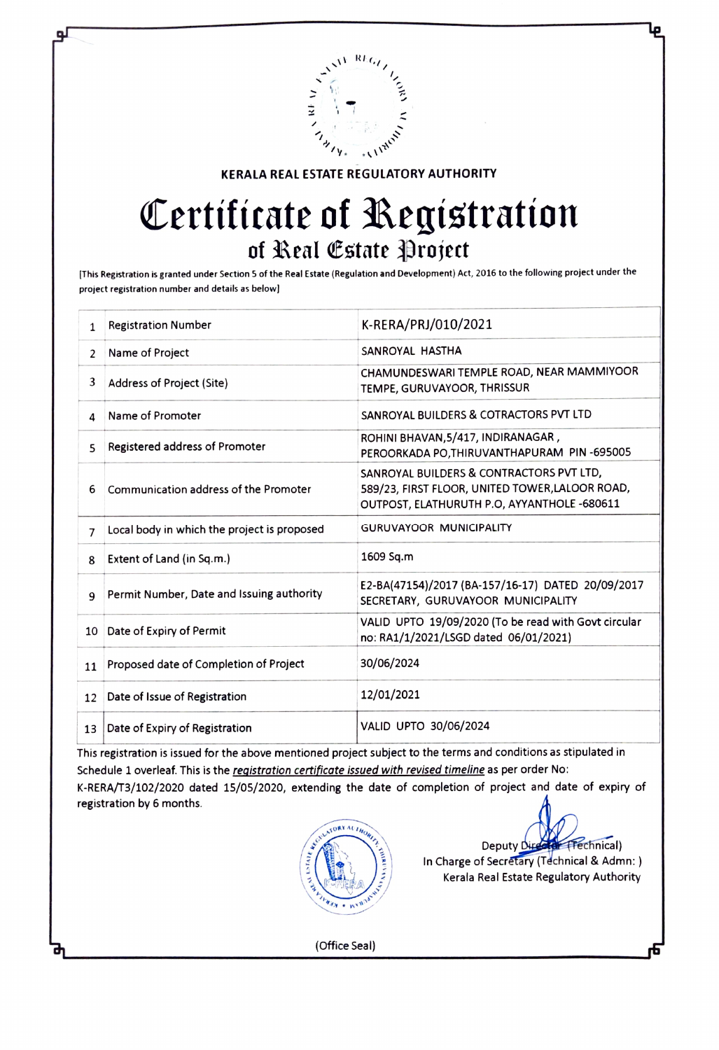

KERALA REAL ESTATE REGULATORY AUTHORITY

## Certificate of Registration<br>of Real Estate Project

[This Registration is granted under Section 5 of the Real Estate (Regulation and Development) Act, 2016 to the following project under the project registration number and details as below]

| 1              | <b>Registration Number</b>                  | K-RERA/PRJ/010/2021                                                                                                                        |
|----------------|---------------------------------------------|--------------------------------------------------------------------------------------------------------------------------------------------|
| 2              | Name of Project                             | SANROYAL HASTHA                                                                                                                            |
| 3              | Address of Project (Site)                   | CHAMUNDESWARI TEMPLE ROAD, NEAR MAMMIYOOR<br>TEMPE, GURUVAYOOR, THRISSUR                                                                   |
| 4              | Name of Promoter                            | SANROYAL BUILDERS & COTRACTORS PVT LTD                                                                                                     |
| 5              | Registered address of Promoter              | ROHINI BHAVAN, 5/417, INDIRANAGAR,<br>PEROORKADA PO, THIRUVANTHAPURAM PIN-695005                                                           |
| 6              | Communication address of the Promoter       | SANROYAL BUILDERS & CONTRACTORS PVT LTD,<br>589/23, FIRST FLOOR, UNITED TOWER, LALOOR ROAD,<br>OUTPOST, ELATHURUTH P.O, AYYANTHOLE -680611 |
| $\overline{7}$ | Local body in which the project is proposed | <b>GURUVAYOOR MUNICIPALITY</b>                                                                                                             |
| 8              | Extent of Land (in Sq.m.)                   | 1609 Sq.m                                                                                                                                  |
| $\mathbf{q}$   | Permit Number, Date and Issuing authority   | E2-BA(47154)/2017 (BA-157/16-17) DATED 20/09/2017<br>SECRETARY, GURUVAYOOR MUNICIPALITY                                                    |
| 10             | Date of Expiry of Permit                    | VALID UPTO 19/09/2020 (To be read with Govt circular<br>no: RA1/1/2021/LSGD dated 06/01/2021)                                              |
| 11             | Proposed date of Completion of Project      | 30/06/2024                                                                                                                                 |
| 12             | Date of Issue of Registration               | 12/01/2021                                                                                                                                 |
| 13             | Date of Expiry of Registration              | VALID UPTO 30/06/2024                                                                                                                      |

This registration is issued for the above mentioned project subject to the terms and conditions as stipulated in Schedule 1 overleaf. This is the registration certificate issued with revised timeline as per order No: K-RERA/T3/102/2020 dated 15/05/2020, extending the date of completion of project and date of expiry of registration by 6 months.



Deputy Director (Fechnical) In Charge of Secretary (Technical & Admn: ) Kerala Real Estate Regulatory Authority

(Office Seal)